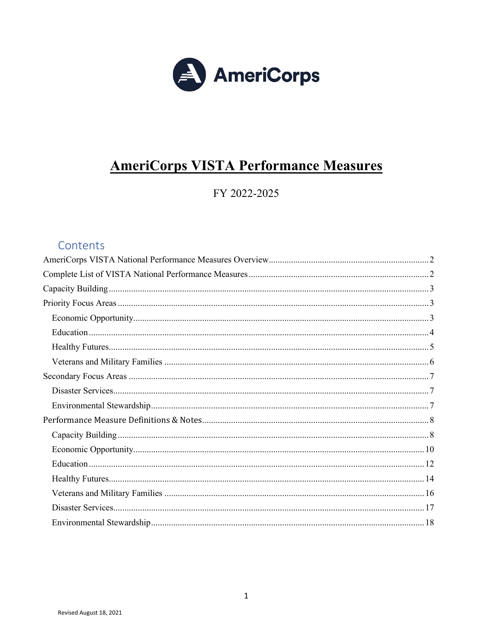

# **AmeriCorps VISTA Performance Measures**

FY 2022-2025

### Contents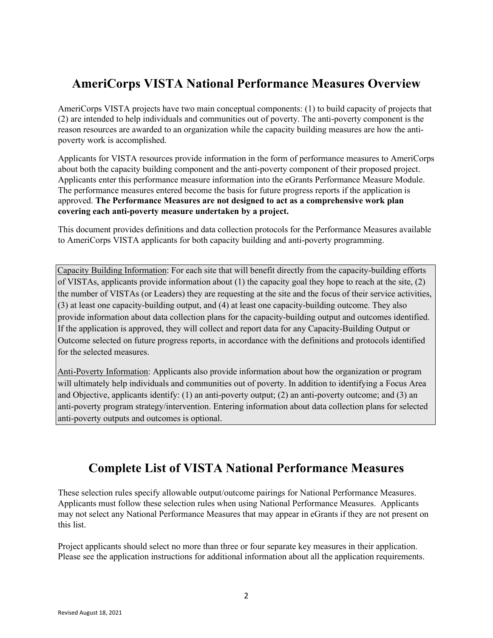## <span id="page-1-0"></span>**AmeriCorps VISTA National Performance Measures Overview**

AmeriCorps VISTA projects have two main conceptual components: (1) to build capacity of projects that (2) are intended to help individuals and communities out of poverty. The anti-poverty component is the reason resources are awarded to an organization while the capacity building measures are how the antipoverty work is accomplished.

Applicants for VISTA resources provide information in the form of performance measures to AmeriCorps about both the capacity building component and the anti-poverty component of their proposed project. Applicants enter this performance measure information into the eGrants Performance Measure Module. The performance measures entered become the basis for future progress reports if the application is approved. **The Performance Measures are not designed to act as a comprehensive work plan covering each anti-poverty measure undertaken by a project.** 

This document provides definitions and data collection protocols for the Performance Measures available to AmeriCorps VISTA applicants for both capacity building and anti-poverty programming.

Capacity Building Information: For each site that will benefit directly from the capacity-building efforts of VISTAs, applicants provide information about (1) the capacity goal they hope to reach at the site, (2) the number of VISTAs (or Leaders) they are requesting at the site and the focus of their service activities, (3) at least one capacity-building output, and (4) at least one capacity-building outcome. They also provide information about data collection plans for the capacity-building output and outcomes identified. If the application is approved, they will collect and report data for any Capacity-Building Output or Outcome selected on future progress reports, in accordance with the definitions and protocols identified for the selected measures.

Anti-Poverty Information: Applicants also provide information about how the organization or program will ultimately help individuals and communities out of poverty. In addition to identifying a Focus Area and Objective, applicants identify: (1) an anti-poverty output; (2) an anti-poverty outcome; and (3) an anti-poverty program strategy/intervention. Entering information about data collection plans for selected anti-poverty outputs and outcomes is optional.

## **Complete List of VISTA National Performance Measures**

<span id="page-1-1"></span>These selection rules specify allowable output/outcome pairings for National Performance Measures. Applicants must follow these selection rules when using National Performance Measures. Applicants may not select any National Performance Measures that may appear in eGrants if they are not present on this list.

Project applicants should select no more than three or four separate key measures in their application. Please see the application instructions for additional information about all the application requirements.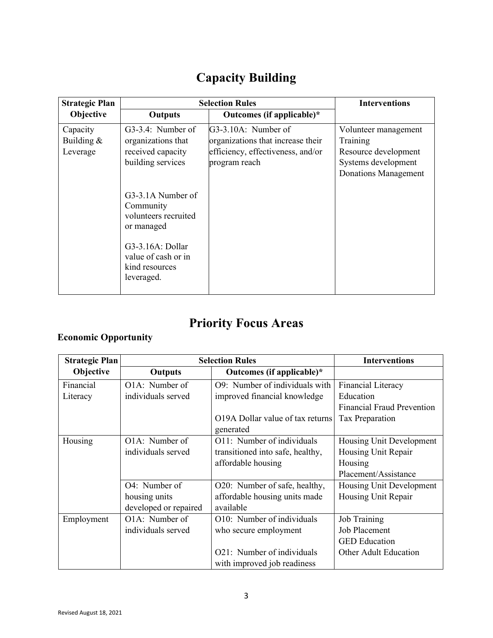# **Capacity Building**

<span id="page-2-0"></span>

| <b>Strategic Plan</b> |                                                                                                                                                 | <b>Selection Rules</b>            | <b>Interventions</b>        |
|-----------------------|-------------------------------------------------------------------------------------------------------------------------------------------------|-----------------------------------|-----------------------------|
| Objective             | <b>Outputs</b>                                                                                                                                  | Outcomes (if applicable)*         |                             |
| Capacity              | G3-3.4: Number of                                                                                                                               | G3-3.10A: Number of               | Volunteer management        |
| Building $&$          | organizations that                                                                                                                              | organizations that increase their | Training                    |
| Leverage              | received capacity                                                                                                                               | efficiency, effectiveness, and/or | Resource development        |
|                       | building services                                                                                                                               | program reach                     | Systems development         |
|                       |                                                                                                                                                 |                                   | <b>Donations Management</b> |
|                       | G3-3.1A Number of<br>Community<br>volunteers recruited<br>or managed<br>G3-3.16A: Dollar<br>value of cash or in<br>kind resources<br>leveraged. |                                   |                             |

# **Priority Focus Areas**

## <span id="page-2-2"></span><span id="page-2-1"></span>**Economic Opportunity**

| <b>Strategic Plan</b> |                       | <b>Selection Rules</b>           | <b>Interventions</b>              |
|-----------------------|-----------------------|----------------------------------|-----------------------------------|
| Objective             | <b>Outputs</b>        | Outcomes (if applicable)*        |                                   |
| Financial             | O1A: Number of        | O9: Number of individuals with   | <b>Financial Literacy</b>         |
| Literacy              | individuals served    | improved financial knowledge     | Education                         |
|                       |                       |                                  | <b>Financial Fraud Prevention</b> |
|                       |                       | O19A Dollar value of tax returns | Tax Preparation                   |
|                       |                       | generated                        |                                   |
| Housing               | O1A: Number of        | O11: Number of individuals       | Housing Unit Development          |
|                       | individuals served    | transitioned into safe, healthy, | Housing Unit Repair               |
|                       |                       | affordable housing               | Housing                           |
|                       |                       |                                  | Placement/Assistance              |
|                       | O4: Number of         | O20: Number of safe, healthy,    | Housing Unit Development          |
|                       | housing units         | affordable housing units made    | Housing Unit Repair               |
|                       | developed or repaired | available                        |                                   |
| Employment            | O1A: Number of        | O10: Number of individuals       | <b>Job Training</b>               |
|                       | individuals served    | who secure employment            | Job Placement                     |
|                       |                       |                                  | <b>GED</b> Education              |
|                       |                       | O21: Number of individuals       | Other Adult Education             |
|                       |                       | with improved job readiness      |                                   |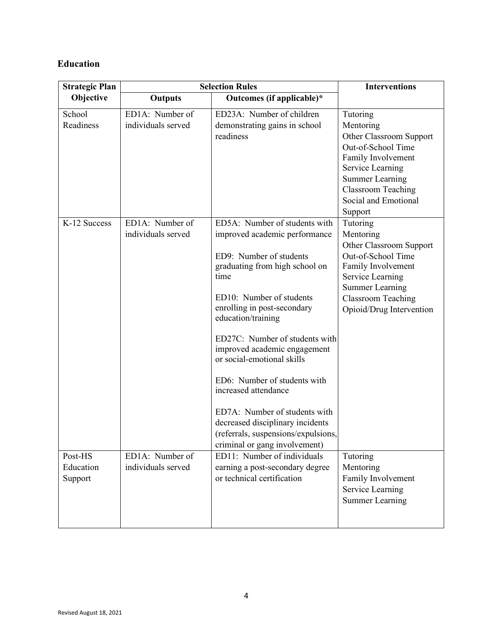### <span id="page-3-0"></span>**Education**

| <b>Strategic Plan</b>           |                                       | <b>Selection Rules</b>                                                                                                                                                                                                                                                                                                                                                                                                                                                                                                    | <b>Interventions</b>                                                                                                                                                                                       |
|---------------------------------|---------------------------------------|---------------------------------------------------------------------------------------------------------------------------------------------------------------------------------------------------------------------------------------------------------------------------------------------------------------------------------------------------------------------------------------------------------------------------------------------------------------------------------------------------------------------------|------------------------------------------------------------------------------------------------------------------------------------------------------------------------------------------------------------|
| Objective                       | <b>Outputs</b>                        | Outcomes (if applicable)*                                                                                                                                                                                                                                                                                                                                                                                                                                                                                                 |                                                                                                                                                                                                            |
| School<br>Readiness             | ED1A: Number of<br>individuals served | ED23A: Number of children<br>demonstrating gains in school<br>readiness                                                                                                                                                                                                                                                                                                                                                                                                                                                   | Tutoring<br>Mentoring<br>Other Classroom Support<br>Out-of-School Time<br>Family Involvement<br>Service Learning<br><b>Summer Learning</b><br><b>Classroom Teaching</b><br>Social and Emotional<br>Support |
| K-12 Success                    | ED1A: Number of<br>individuals served | ED5A: Number of students with<br>improved academic performance<br>ED9: Number of students<br>graduating from high school on<br>time<br>ED10: Number of students<br>enrolling in post-secondary<br>education/training<br>ED27C: Number of students with<br>improved academic engagement<br>or social-emotional skills<br>ED6: Number of students with<br>increased attendance<br>ED7A: Number of students with<br>decreased disciplinary incidents<br>(referrals, suspensions/expulsions,<br>criminal or gang involvement) | Tutoring<br>Mentoring<br>Other Classroom Support<br>Out-of-School Time<br>Family Involvement<br>Service Learning<br><b>Summer Learning</b><br><b>Classroom Teaching</b><br>Opioid/Drug Intervention        |
| Post-HS<br>Education<br>Support | ED1A: Number of<br>individuals served | ED11: Number of individuals<br>earning a post-secondary degree<br>or technical certification                                                                                                                                                                                                                                                                                                                                                                                                                              | Tutoring<br>Mentoring<br>Family Involvement<br>Service Learning<br><b>Summer Learning</b>                                                                                                                  |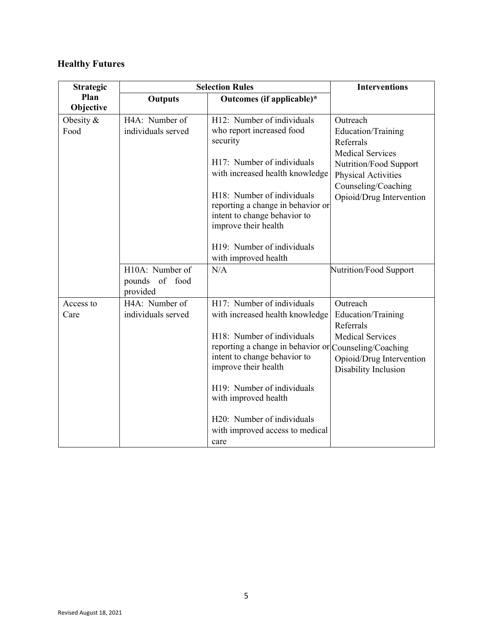## <span id="page-4-0"></span>**Healthy Futures**

| <b>Strategic</b>    |                                               | <b>Selection Rules</b>                                                                                                                                                                                                                                             | <b>Interventions</b>                                                                                                                                                       |
|---------------------|-----------------------------------------------|--------------------------------------------------------------------------------------------------------------------------------------------------------------------------------------------------------------------------------------------------------------------|----------------------------------------------------------------------------------------------------------------------------------------------------------------------------|
| Plan<br>Objective   | <b>Outputs</b>                                | Outcomes (if applicable)*                                                                                                                                                                                                                                          |                                                                                                                                                                            |
| Obesity $&$<br>Food | H4A: Number of<br>individuals served          | H12: Number of individuals<br>who report increased food<br>security<br>H17: Number of individuals<br>with increased health knowledge<br>H18: Number of individuals<br>reporting a change in behavior or<br>intent to change behavior to<br>improve their health    | Outreach<br>Education/Training<br>Referrals<br><b>Medical Services</b><br>Nutrition/Food Support<br>Physical Activities<br>Counseling/Coaching<br>Opioid/Drug Intervention |
|                     | H10A: Number of<br>pounds of food<br>provided | H19: Number of individuals<br>with improved health<br>N/A                                                                                                                                                                                                          | Nutrition/Food Support                                                                                                                                                     |
| Access to<br>Care   | H4A: Number of<br>individuals served          | H17: Number of individuals<br>with increased health knowledge<br>H18: Number of individuals<br>reporting a change in behavior or Counseling/Coaching<br>intent to change behavior to<br>improve their health<br>H19: Number of individuals<br>with improved health | Outreach<br>Education/Training<br>Referrals<br><b>Medical Services</b><br>Opioid/Drug Intervention<br>Disability Inclusion                                                 |
|                     |                                               | H20: Number of individuals<br>with improved access to medical<br>care                                                                                                                                                                                              |                                                                                                                                                                            |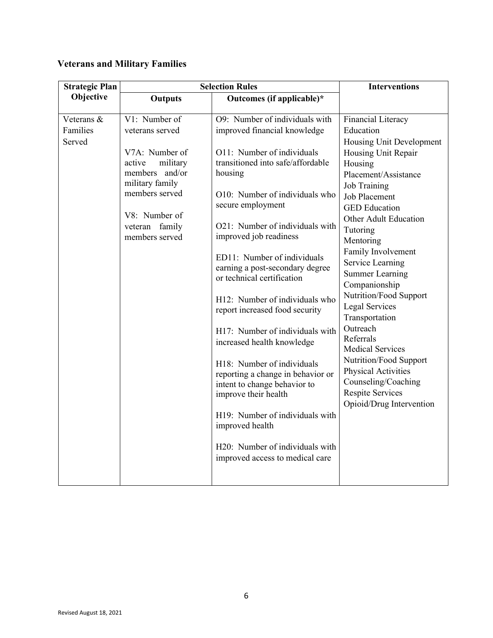## <span id="page-5-0"></span>**Veterans and Military Families**

| <b>Strategic Plan</b>            |                                                                                                                                                                                         | <b>Selection Rules</b>                                                                                                                                                                                                                                                                                                                                                                                                                                                                                                                                                                                                                                                                                                                                       | <b>Interventions</b>                                                                                                                                                                                                                                                                                                                                                                                                                                                                                                                                                                        |
|----------------------------------|-----------------------------------------------------------------------------------------------------------------------------------------------------------------------------------------|--------------------------------------------------------------------------------------------------------------------------------------------------------------------------------------------------------------------------------------------------------------------------------------------------------------------------------------------------------------------------------------------------------------------------------------------------------------------------------------------------------------------------------------------------------------------------------------------------------------------------------------------------------------------------------------------------------------------------------------------------------------|---------------------------------------------------------------------------------------------------------------------------------------------------------------------------------------------------------------------------------------------------------------------------------------------------------------------------------------------------------------------------------------------------------------------------------------------------------------------------------------------------------------------------------------------------------------------------------------------|
| Objective                        | <b>Outputs</b>                                                                                                                                                                          | Outcomes (if applicable)*                                                                                                                                                                                                                                                                                                                                                                                                                                                                                                                                                                                                                                                                                                                                    |                                                                                                                                                                                                                                                                                                                                                                                                                                                                                                                                                                                             |
| Veterans &<br>Families<br>Served | V1: Number of<br>veterans served<br>V7A: Number of<br>military<br>active<br>members<br>and/or<br>military family<br>members served<br>V8: Number of<br>veteran family<br>members served | O9: Number of individuals with<br>improved financial knowledge<br>O11: Number of individuals<br>transitioned into safe/affordable<br>housing<br>O10: Number of individuals who<br>secure employment<br>O21: Number of individuals with<br>improved job readiness<br>ED11: Number of individuals<br>earning a post-secondary degree<br>or technical certification<br>H12: Number of individuals who<br>report increased food security<br>H17: Number of individuals with<br>increased health knowledge<br>H18: Number of individuals<br>reporting a change in behavior or<br>intent to change behavior to<br>improve their health<br>H19: Number of individuals with<br>improved health<br>H20: Number of individuals with<br>improved access to medical care | <b>Financial Literacy</b><br>Education<br>Housing Unit Development<br>Housing Unit Repair<br>Housing<br>Placement/Assistance<br>Job Training<br><b>Job Placement</b><br><b>GED</b> Education<br><b>Other Adult Education</b><br>Tutoring<br>Mentoring<br>Family Involvement<br>Service Learning<br><b>Summer Learning</b><br>Companionship<br>Nutrition/Food Support<br>Legal Services<br>Transportation<br>Outreach<br>Referrals<br><b>Medical Services</b><br>Nutrition/Food Support<br>Physical Activities<br>Counseling/Coaching<br><b>Respite Services</b><br>Opioid/Drug Intervention |
|                                  |                                                                                                                                                                                         |                                                                                                                                                                                                                                                                                                                                                                                                                                                                                                                                                                                                                                                                                                                                                              |                                                                                                                                                                                                                                                                                                                                                                                                                                                                                                                                                                                             |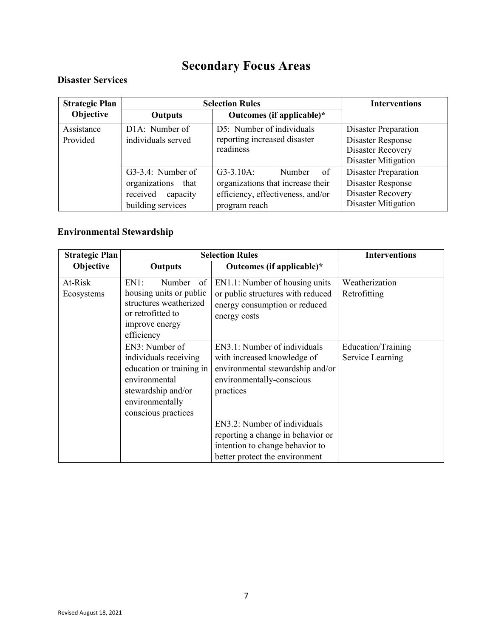# **Secondary Focus Areas**

#### <span id="page-6-1"></span><span id="page-6-0"></span>**Disaster Services**

| <b>Strategic Plan</b> |                             | <b>Selection Rules</b>            | <b>Interventions</b>     |
|-----------------------|-----------------------------|-----------------------------------|--------------------------|
| Objective             | <b>Outputs</b>              | Outcomes (if applicable)*         |                          |
| Assistance            | D <sub>1</sub> A: Number of | D5: Number of individuals         | Disaster Preparation     |
| Provided              | individuals served          | reporting increased disaster      | Disaster Response        |
|                       |                             | readiness                         | Disaster Recovery        |
|                       |                             |                                   | Disaster Mitigation      |
|                       | G3-3.4: Number of           | - of<br>$G3-3.10A$ :<br>Number    | Disaster Preparation     |
|                       | organizations that          | organizations that increase their | Disaster Response        |
|                       | received<br>capacity        | efficiency, effectiveness, and/or | <b>Disaster Recovery</b> |
|                       | building services           | program reach                     | Disaster Mitigation      |

## <span id="page-6-2"></span>**Environmental Stewardship**

| <b>Strategic Plan</b> |                                                                                                                                                      | <b>Selection Rules</b>                                                                                                                    | <b>Interventions</b>                   |
|-----------------------|------------------------------------------------------------------------------------------------------------------------------------------------------|-------------------------------------------------------------------------------------------------------------------------------------------|----------------------------------------|
| Objective             | <b>Outputs</b>                                                                                                                                       | Outcomes (if applicable)*                                                                                                                 |                                        |
| At-Risk<br>Ecosystems | EN1:<br>Number<br>of<br>housing units or public<br>structures weatherized<br>or retrofitted to<br>improve energy<br>efficiency                       | EN1.1: Number of housing units<br>or public structures with reduced<br>energy consumption or reduced<br>energy costs                      | Weatherization<br>Retrofitting         |
|                       | EN3: Number of<br>individuals receiving<br>education or training in<br>environmental<br>stewardship and/or<br>environmentally<br>conscious practices | EN3.1: Number of individuals<br>with increased knowledge of<br>environmental stewardship and/or<br>environmentally-conscious<br>practices | Education/Training<br>Service Learning |
|                       |                                                                                                                                                      | EN3.2: Number of individuals<br>reporting a change in behavior or<br>intention to change behavior to<br>better protect the environment    |                                        |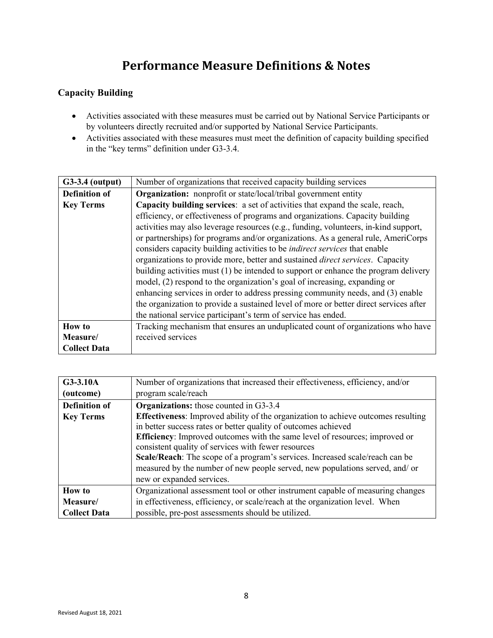## **Performance Measure Definitions & Notes**

#### <span id="page-7-1"></span><span id="page-7-0"></span>**Capacity Building**

- Activities associated with these measures must be carried out by National Service Participants or by volunteers directly recruited and/or supported by National Service Participants.
- Activities associated with these measures must meet the definition of capacity building specified in the "key terms" definition under G3-3.4.

| $G3-3.4$ (output)    | Number of organizations that received capacity building services                      |  |
|----------------------|---------------------------------------------------------------------------------------|--|
| <b>Definition of</b> | <b>Organization:</b> nonprofit or state/local/tribal government entity                |  |
| <b>Key Terms</b>     | Capacity building services: a set of activities that expand the scale, reach,         |  |
|                      | efficiency, or effectiveness of programs and organizations. Capacity building         |  |
|                      | activities may also leverage resources (e.g., funding, volunteers, in-kind support,   |  |
|                      | or partnerships) for programs and/or organizations. As a general rule, AmeriCorps     |  |
|                      | considers capacity building activities to be <i>indirect services</i> that enable     |  |
|                      | organizations to provide more, better and sustained <i>direct services</i> . Capacity |  |
|                      | building activities must (1) be intended to support or enhance the program delivery   |  |
|                      | model, (2) respond to the organization's goal of increasing, expanding or             |  |
|                      | enhancing services in order to address pressing community needs, and (3) enable       |  |
|                      | the organization to provide a sustained level of more or better direct services after |  |
|                      | the national service participant's term of service has ended.                         |  |
| <b>How to</b>        | Tracking mechanism that ensures an unduplicated count of organizations who have       |  |
| Measure/             | received services                                                                     |  |
| <b>Collect Data</b>  |                                                                                       |  |

| G3-3.10A             | Number of organizations that increased their effectiveness, efficiency, and/or           |  |
|----------------------|------------------------------------------------------------------------------------------|--|
| (outcome)            | program scale/reach                                                                      |  |
| <b>Definition of</b> | <b>Organizations:</b> those counted in G3-3.4                                            |  |
| <b>Key Terms</b>     | <b>Effectiveness:</b> Improved ability of the organization to achieve outcomes resulting |  |
|                      | in better success rates or better quality of outcomes achieved                           |  |
|                      | <b>Efficiency:</b> Improved outcomes with the same level of resources; improved or       |  |
|                      | consistent quality of services with fewer resources                                      |  |
|                      | Scale/Reach: The scope of a program's services. Increased scale/reach can be             |  |
|                      | measured by the number of new people served, new populations served, and/ or             |  |
|                      | new or expanded services.                                                                |  |
| <b>How to</b>        | Organizational assessment tool or other instrument capable of measuring changes          |  |
| Measure/             | in effectiveness, efficiency, or scale/reach at the organization level. When             |  |
| <b>Collect Data</b>  | possible, pre-post assessments should be utilized.                                       |  |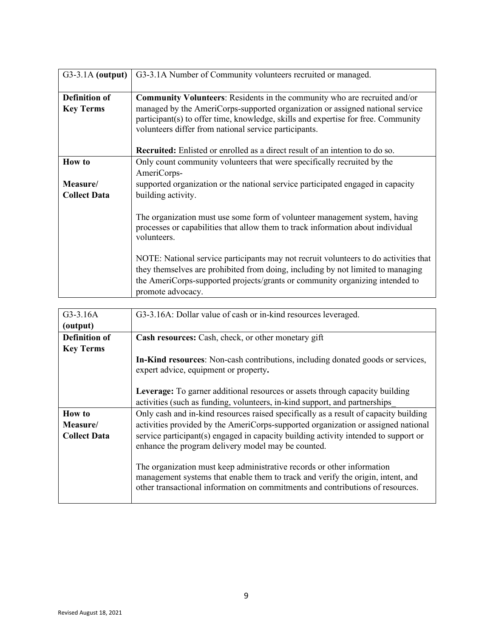| $G3-3.1A$ (output)                       | G3-3.1A Number of Community volunteers recruited or managed.                                                                                                                                                                                                                                             |
|------------------------------------------|----------------------------------------------------------------------------------------------------------------------------------------------------------------------------------------------------------------------------------------------------------------------------------------------------------|
| <b>Definition of</b><br><b>Key Terms</b> | Community Volunteers: Residents in the community who are recruited and/or<br>managed by the AmeriCorps-supported organization or assigned national service<br>participant(s) to offer time, knowledge, skills and expertise for free. Community<br>volunteers differ from national service participants. |
|                                          | <b>Recruited:</b> Enlisted or enrolled as a direct result of an intention to do so.                                                                                                                                                                                                                      |
| <b>How to</b>                            | Only count community volunteers that were specifically recruited by the<br>AmeriCorps-                                                                                                                                                                                                                   |
| Measure/<br><b>Collect Data</b>          | supported organization or the national service participated engaged in capacity<br>building activity.                                                                                                                                                                                                    |
|                                          | The organization must use some form of volunteer management system, having<br>processes or capabilities that allow them to track information about individual<br>volunteers.                                                                                                                             |
|                                          | NOTE: National service participants may not recruit volunteers to do activities that<br>they themselves are prohibited from doing, including by not limited to managing<br>the AmeriCorps-supported projects/grants or community organizing intended to<br>promote advocacy.                             |

| $G3-3.16A$           | G3-3.16A: Dollar value of cash or in-kind resources leveraged.                                                                                                                                                                              |
|----------------------|---------------------------------------------------------------------------------------------------------------------------------------------------------------------------------------------------------------------------------------------|
| (output)             |                                                                                                                                                                                                                                             |
| <b>Definition of</b> | <b>Cash resources:</b> Cash, check, or other monetary gift                                                                                                                                                                                  |
| <b>Key Terms</b>     |                                                                                                                                                                                                                                             |
|                      | <b>In-Kind resources:</b> Non-cash contributions, including donated goods or services,<br>expert advice, equipment or property.                                                                                                             |
|                      | <b>Leverage:</b> To garner additional resources or assets through capacity building<br>activities (such as funding, volunteers, in-kind support, and partnerships                                                                           |
| <b>How to</b>        | Only cash and in-kind resources raised specifically as a result of capacity building                                                                                                                                                        |
| Measure/             | activities provided by the AmeriCorps-supported organization or assigned national                                                                                                                                                           |
| <b>Collect Data</b>  | service participant(s) engaged in capacity building activity intended to support or<br>enhance the program delivery model may be counted.                                                                                                   |
|                      | The organization must keep administrative records or other information<br>management systems that enable them to track and verify the origin, intent, and<br>other transactional information on commitments and contributions of resources. |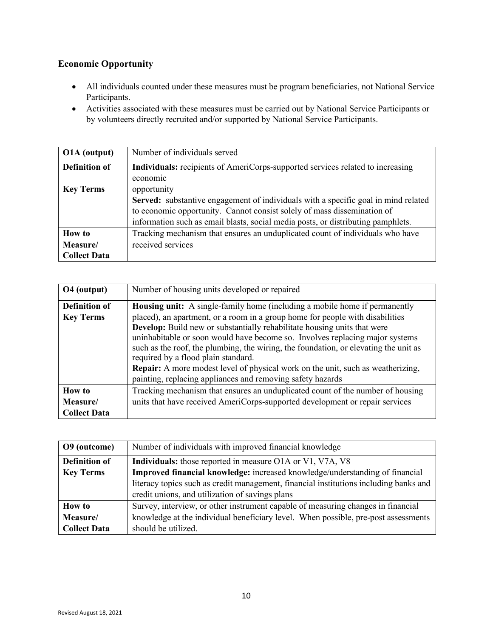### <span id="page-9-0"></span>**Economic Opportunity**

- All individuals counted under these measures must be program beneficiaries, not National Service Participants.
- Activities associated with these measures must be carried out by National Service Participants or by volunteers directly recruited and/or supported by National Service Participants.

| O1A (output)         | Number of individuals served                                                              |
|----------------------|-------------------------------------------------------------------------------------------|
| <b>Definition of</b> | <b>Individuals:</b> recipients of AmeriCorps-supported services related to increasing     |
|                      | economic                                                                                  |
| <b>Key Terms</b>     | opportunity                                                                               |
|                      | <b>Served:</b> substantive engagement of individuals with a specific goal in mind related |
|                      | to economic opportunity. Cannot consist solely of mass dissemination of                   |
|                      | information such as email blasts, social media posts, or distributing pamphlets.          |
| <b>How to</b>        | Tracking mechanism that ensures an unduplicated count of individuals who have             |
| Measure/             | received services                                                                         |
| <b>Collect Data</b>  |                                                                                           |

| O <sub>4</sub> (output) | Number of housing units developed or repaired                                                                                                                                                                                                                                                                                                                                                                                                                                                                                    |
|-------------------------|----------------------------------------------------------------------------------------------------------------------------------------------------------------------------------------------------------------------------------------------------------------------------------------------------------------------------------------------------------------------------------------------------------------------------------------------------------------------------------------------------------------------------------|
| <b>Definition of</b>    | <b>Housing unit:</b> A single-family home (including a mobile home if permanently                                                                                                                                                                                                                                                                                                                                                                                                                                                |
| <b>Key Terms</b>        | placed), an apartment, or a room in a group home for people with disabilities<br>Develop: Build new or substantially rehabilitate housing units that were<br>uninhabitable or soon would have become so. Involves replacing major systems<br>such as the roof, the plumbing, the wiring, the foundation, or elevating the unit as<br>required by a flood plain standard.<br><b>Repair:</b> A more modest level of physical work on the unit, such as weatherizing,<br>painting, replacing appliances and removing safety hazards |
| <b>How to</b>           | Tracking mechanism that ensures an unduplicated count of the number of housing                                                                                                                                                                                                                                                                                                                                                                                                                                                   |
| Measure/                | units that have received AmeriCorps-supported development or repair services                                                                                                                                                                                                                                                                                                                                                                                                                                                     |
| <b>Collect Data</b>     |                                                                                                                                                                                                                                                                                                                                                                                                                                                                                                                                  |

| O9 (outcome)         | Number of individuals with improved financial knowledge                               |
|----------------------|---------------------------------------------------------------------------------------|
| <b>Definition of</b> | Individuals: those reported in measure O1A or V1, V7A, V8                             |
| <b>Key Terms</b>     | Improved financial knowledge: increased knowledge/understanding of financial          |
|                      | literacy topics such as credit management, financial institutions including banks and |
|                      | credit unions, and utilization of savings plans                                       |
| <b>How to</b>        | Survey, interview, or other instrument capable of measuring changes in financial      |
| Measure/             | knowledge at the individual beneficiary level. When possible, pre-post assessments    |
| <b>Collect Data</b>  | should be utilized.                                                                   |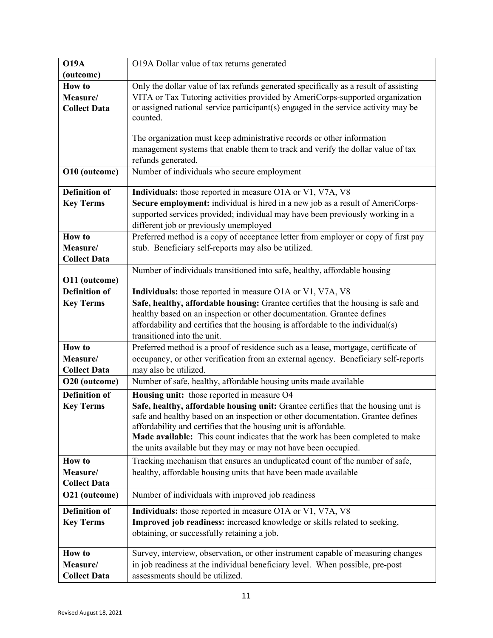| (outcome)                                                                                                                                                                                                                                                                                   | O19A Dollar value of tax returns generated                                                                                                                                                                                                                                                                                                                                                                                                                                                                                                                                                                                                                                                                                                                                                                                                                                                                                                                                                                                                                                                                                                                                                                                                                                                                                                                                                                                                                                                                      |
|---------------------------------------------------------------------------------------------------------------------------------------------------------------------------------------------------------------------------------------------------------------------------------------------|-----------------------------------------------------------------------------------------------------------------------------------------------------------------------------------------------------------------------------------------------------------------------------------------------------------------------------------------------------------------------------------------------------------------------------------------------------------------------------------------------------------------------------------------------------------------------------------------------------------------------------------------------------------------------------------------------------------------------------------------------------------------------------------------------------------------------------------------------------------------------------------------------------------------------------------------------------------------------------------------------------------------------------------------------------------------------------------------------------------------------------------------------------------------------------------------------------------------------------------------------------------------------------------------------------------------------------------------------------------------------------------------------------------------------------------------------------------------------------------------------------------------|
|                                                                                                                                                                                                                                                                                             |                                                                                                                                                                                                                                                                                                                                                                                                                                                                                                                                                                                                                                                                                                                                                                                                                                                                                                                                                                                                                                                                                                                                                                                                                                                                                                                                                                                                                                                                                                                 |
| <b>How to</b>                                                                                                                                                                                                                                                                               | Only the dollar value of tax refunds generated specifically as a result of assisting                                                                                                                                                                                                                                                                                                                                                                                                                                                                                                                                                                                                                                                                                                                                                                                                                                                                                                                                                                                                                                                                                                                                                                                                                                                                                                                                                                                                                            |
| Measure/                                                                                                                                                                                                                                                                                    | VITA or Tax Tutoring activities provided by AmeriCorps-supported organization                                                                                                                                                                                                                                                                                                                                                                                                                                                                                                                                                                                                                                                                                                                                                                                                                                                                                                                                                                                                                                                                                                                                                                                                                                                                                                                                                                                                                                   |
| <b>Collect Data</b>                                                                                                                                                                                                                                                                         | or assigned national service participant(s) engaged in the service activity may be                                                                                                                                                                                                                                                                                                                                                                                                                                                                                                                                                                                                                                                                                                                                                                                                                                                                                                                                                                                                                                                                                                                                                                                                                                                                                                                                                                                                                              |
|                                                                                                                                                                                                                                                                                             | counted.                                                                                                                                                                                                                                                                                                                                                                                                                                                                                                                                                                                                                                                                                                                                                                                                                                                                                                                                                                                                                                                                                                                                                                                                                                                                                                                                                                                                                                                                                                        |
|                                                                                                                                                                                                                                                                                             |                                                                                                                                                                                                                                                                                                                                                                                                                                                                                                                                                                                                                                                                                                                                                                                                                                                                                                                                                                                                                                                                                                                                                                                                                                                                                                                                                                                                                                                                                                                 |
|                                                                                                                                                                                                                                                                                             | The organization must keep administrative records or other information                                                                                                                                                                                                                                                                                                                                                                                                                                                                                                                                                                                                                                                                                                                                                                                                                                                                                                                                                                                                                                                                                                                                                                                                                                                                                                                                                                                                                                          |
|                                                                                                                                                                                                                                                                                             | management systems that enable them to track and verify the dollar value of tax                                                                                                                                                                                                                                                                                                                                                                                                                                                                                                                                                                                                                                                                                                                                                                                                                                                                                                                                                                                                                                                                                                                                                                                                                                                                                                                                                                                                                                 |
|                                                                                                                                                                                                                                                                                             | refunds generated.                                                                                                                                                                                                                                                                                                                                                                                                                                                                                                                                                                                                                                                                                                                                                                                                                                                                                                                                                                                                                                                                                                                                                                                                                                                                                                                                                                                                                                                                                              |
| O10 (outcome)                                                                                                                                                                                                                                                                               | Number of individuals who secure employment                                                                                                                                                                                                                                                                                                                                                                                                                                                                                                                                                                                                                                                                                                                                                                                                                                                                                                                                                                                                                                                                                                                                                                                                                                                                                                                                                                                                                                                                     |
| <b>Definition of</b>                                                                                                                                                                                                                                                                        | Individuals: those reported in measure O1A or V1, V7A, V8                                                                                                                                                                                                                                                                                                                                                                                                                                                                                                                                                                                                                                                                                                                                                                                                                                                                                                                                                                                                                                                                                                                                                                                                                                                                                                                                                                                                                                                       |
| <b>Key Terms</b>                                                                                                                                                                                                                                                                            | Secure employment: individual is hired in a new job as a result of AmeriCorps-                                                                                                                                                                                                                                                                                                                                                                                                                                                                                                                                                                                                                                                                                                                                                                                                                                                                                                                                                                                                                                                                                                                                                                                                                                                                                                                                                                                                                                  |
|                                                                                                                                                                                                                                                                                             | supported services provided; individual may have been previously working in a                                                                                                                                                                                                                                                                                                                                                                                                                                                                                                                                                                                                                                                                                                                                                                                                                                                                                                                                                                                                                                                                                                                                                                                                                                                                                                                                                                                                                                   |
|                                                                                                                                                                                                                                                                                             | different job or previously unemployed                                                                                                                                                                                                                                                                                                                                                                                                                                                                                                                                                                                                                                                                                                                                                                                                                                                                                                                                                                                                                                                                                                                                                                                                                                                                                                                                                                                                                                                                          |
| <b>How to</b>                                                                                                                                                                                                                                                                               | Preferred method is a copy of acceptance letter from employer or copy of first pay                                                                                                                                                                                                                                                                                                                                                                                                                                                                                                                                                                                                                                                                                                                                                                                                                                                                                                                                                                                                                                                                                                                                                                                                                                                                                                                                                                                                                              |
| Measure/                                                                                                                                                                                                                                                                                    | stub. Beneficiary self-reports may also be utilized.                                                                                                                                                                                                                                                                                                                                                                                                                                                                                                                                                                                                                                                                                                                                                                                                                                                                                                                                                                                                                                                                                                                                                                                                                                                                                                                                                                                                                                                            |
| <b>Collect Data</b>                                                                                                                                                                                                                                                                         |                                                                                                                                                                                                                                                                                                                                                                                                                                                                                                                                                                                                                                                                                                                                                                                                                                                                                                                                                                                                                                                                                                                                                                                                                                                                                                                                                                                                                                                                                                                 |
|                                                                                                                                                                                                                                                                                             | Number of individuals transitioned into safe, healthy, affordable housing                                                                                                                                                                                                                                                                                                                                                                                                                                                                                                                                                                                                                                                                                                                                                                                                                                                                                                                                                                                                                                                                                                                                                                                                                                                                                                                                                                                                                                       |
|                                                                                                                                                                                                                                                                                             |                                                                                                                                                                                                                                                                                                                                                                                                                                                                                                                                                                                                                                                                                                                                                                                                                                                                                                                                                                                                                                                                                                                                                                                                                                                                                                                                                                                                                                                                                                                 |
|                                                                                                                                                                                                                                                                                             |                                                                                                                                                                                                                                                                                                                                                                                                                                                                                                                                                                                                                                                                                                                                                                                                                                                                                                                                                                                                                                                                                                                                                                                                                                                                                                                                                                                                                                                                                                                 |
|                                                                                                                                                                                                                                                                                             |                                                                                                                                                                                                                                                                                                                                                                                                                                                                                                                                                                                                                                                                                                                                                                                                                                                                                                                                                                                                                                                                                                                                                                                                                                                                                                                                                                                                                                                                                                                 |
|                                                                                                                                                                                                                                                                                             |                                                                                                                                                                                                                                                                                                                                                                                                                                                                                                                                                                                                                                                                                                                                                                                                                                                                                                                                                                                                                                                                                                                                                                                                                                                                                                                                                                                                                                                                                                                 |
|                                                                                                                                                                                                                                                                                             |                                                                                                                                                                                                                                                                                                                                                                                                                                                                                                                                                                                                                                                                                                                                                                                                                                                                                                                                                                                                                                                                                                                                                                                                                                                                                                                                                                                                                                                                                                                 |
|                                                                                                                                                                                                                                                                                             |                                                                                                                                                                                                                                                                                                                                                                                                                                                                                                                                                                                                                                                                                                                                                                                                                                                                                                                                                                                                                                                                                                                                                                                                                                                                                                                                                                                                                                                                                                                 |
|                                                                                                                                                                                                                                                                                             |                                                                                                                                                                                                                                                                                                                                                                                                                                                                                                                                                                                                                                                                                                                                                                                                                                                                                                                                                                                                                                                                                                                                                                                                                                                                                                                                                                                                                                                                                                                 |
|                                                                                                                                                                                                                                                                                             |                                                                                                                                                                                                                                                                                                                                                                                                                                                                                                                                                                                                                                                                                                                                                                                                                                                                                                                                                                                                                                                                                                                                                                                                                                                                                                                                                                                                                                                                                                                 |
|                                                                                                                                                                                                                                                                                             |                                                                                                                                                                                                                                                                                                                                                                                                                                                                                                                                                                                                                                                                                                                                                                                                                                                                                                                                                                                                                                                                                                                                                                                                                                                                                                                                                                                                                                                                                                                 |
|                                                                                                                                                                                                                                                                                             |                                                                                                                                                                                                                                                                                                                                                                                                                                                                                                                                                                                                                                                                                                                                                                                                                                                                                                                                                                                                                                                                                                                                                                                                                                                                                                                                                                                                                                                                                                                 |
|                                                                                                                                                                                                                                                                                             |                                                                                                                                                                                                                                                                                                                                                                                                                                                                                                                                                                                                                                                                                                                                                                                                                                                                                                                                                                                                                                                                                                                                                                                                                                                                                                                                                                                                                                                                                                                 |
|                                                                                                                                                                                                                                                                                             |                                                                                                                                                                                                                                                                                                                                                                                                                                                                                                                                                                                                                                                                                                                                                                                                                                                                                                                                                                                                                                                                                                                                                                                                                                                                                                                                                                                                                                                                                                                 |
|                                                                                                                                                                                                                                                                                             |                                                                                                                                                                                                                                                                                                                                                                                                                                                                                                                                                                                                                                                                                                                                                                                                                                                                                                                                                                                                                                                                                                                                                                                                                                                                                                                                                                                                                                                                                                                 |
|                                                                                                                                                                                                                                                                                             |                                                                                                                                                                                                                                                                                                                                                                                                                                                                                                                                                                                                                                                                                                                                                                                                                                                                                                                                                                                                                                                                                                                                                                                                                                                                                                                                                                                                                                                                                                                 |
|                                                                                                                                                                                                                                                                                             |                                                                                                                                                                                                                                                                                                                                                                                                                                                                                                                                                                                                                                                                                                                                                                                                                                                                                                                                                                                                                                                                                                                                                                                                                                                                                                                                                                                                                                                                                                                 |
|                                                                                                                                                                                                                                                                                             |                                                                                                                                                                                                                                                                                                                                                                                                                                                                                                                                                                                                                                                                                                                                                                                                                                                                                                                                                                                                                                                                                                                                                                                                                                                                                                                                                                                                                                                                                                                 |
|                                                                                                                                                                                                                                                                                             |                                                                                                                                                                                                                                                                                                                                                                                                                                                                                                                                                                                                                                                                                                                                                                                                                                                                                                                                                                                                                                                                                                                                                                                                                                                                                                                                                                                                                                                                                                                 |
|                                                                                                                                                                                                                                                                                             |                                                                                                                                                                                                                                                                                                                                                                                                                                                                                                                                                                                                                                                                                                                                                                                                                                                                                                                                                                                                                                                                                                                                                                                                                                                                                                                                                                                                                                                                                                                 |
|                                                                                                                                                                                                                                                                                             |                                                                                                                                                                                                                                                                                                                                                                                                                                                                                                                                                                                                                                                                                                                                                                                                                                                                                                                                                                                                                                                                                                                                                                                                                                                                                                                                                                                                                                                                                                                 |
|                                                                                                                                                                                                                                                                                             |                                                                                                                                                                                                                                                                                                                                                                                                                                                                                                                                                                                                                                                                                                                                                                                                                                                                                                                                                                                                                                                                                                                                                                                                                                                                                                                                                                                                                                                                                                                 |
|                                                                                                                                                                                                                                                                                             |                                                                                                                                                                                                                                                                                                                                                                                                                                                                                                                                                                                                                                                                                                                                                                                                                                                                                                                                                                                                                                                                                                                                                                                                                                                                                                                                                                                                                                                                                                                 |
|                                                                                                                                                                                                                                                                                             | obtaining, or successfully retaining a job.                                                                                                                                                                                                                                                                                                                                                                                                                                                                                                                                                                                                                                                                                                                                                                                                                                                                                                                                                                                                                                                                                                                                                                                                                                                                                                                                                                                                                                                                     |
| <b>How to</b>                                                                                                                                                                                                                                                                               |                                                                                                                                                                                                                                                                                                                                                                                                                                                                                                                                                                                                                                                                                                                                                                                                                                                                                                                                                                                                                                                                                                                                                                                                                                                                                                                                                                                                                                                                                                                 |
| Measure/                                                                                                                                                                                                                                                                                    | in job readiness at the individual beneficiary level. When possible, pre-post                                                                                                                                                                                                                                                                                                                                                                                                                                                                                                                                                                                                                                                                                                                                                                                                                                                                                                                                                                                                                                                                                                                                                                                                                                                                                                                                                                                                                                   |
| <b>Collect Data</b>                                                                                                                                                                                                                                                                         | assessments should be utilized.                                                                                                                                                                                                                                                                                                                                                                                                                                                                                                                                                                                                                                                                                                                                                                                                                                                                                                                                                                                                                                                                                                                                                                                                                                                                                                                                                                                                                                                                                 |
| O11 (outcome)<br><b>Definition of</b><br><b>Key Terms</b><br><b>How to</b><br>Measure/<br><b>Collect Data</b><br>O20 (outcome)<br><b>Definition of</b><br><b>Key Terms</b><br><b>How to</b><br>Measure/<br><b>Collect Data</b><br>O21 (outcome)<br><b>Definition of</b><br><b>Key Terms</b> | Individuals: those reported in measure O1A or V1, V7A, V8<br>Safe, healthy, affordable housing: Grantee certifies that the housing is safe and<br>healthy based on an inspection or other documentation. Grantee defines<br>affordability and certifies that the housing is affordable to the individual(s)<br>transitioned into the unit.<br>Preferred method is a proof of residence such as a lease, mortgage, certificate of<br>occupancy, or other verification from an external agency. Beneficiary self-reports<br>may also be utilized.<br>Number of safe, healthy, affordable housing units made available<br>Housing unit: those reported in measure O4<br>Safe, healthy, affordable housing unit: Grantee certifies that the housing unit is<br>safe and healthy based on an inspection or other documentation. Grantee defines<br>affordability and certifies that the housing unit is affordable.<br><b>Made available:</b> This count indicates that the work has been completed to make<br>the units available but they may or may not have been occupied.<br>Tracking mechanism that ensures an unduplicated count of the number of safe,<br>healthy, affordable housing units that have been made available<br>Number of individuals with improved job readiness<br>Individuals: those reported in measure O1A or V1, V7A, V8<br>Improved job readiness: increased knowledge or skills related to seeking,<br>Survey, interview, observation, or other instrument capable of measuring changes |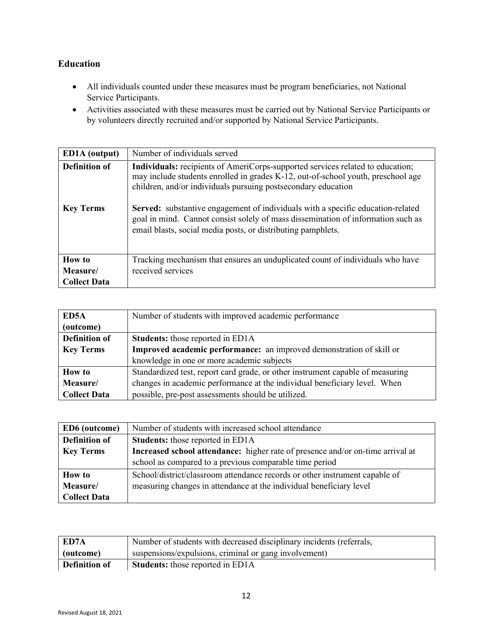#### <span id="page-11-0"></span>**Education**

- All individuals counted under these measures must be program beneficiaries, not National Service Participants.
- Activities associated with these measures must be carried out by National Service Participants or by volunteers directly recruited and/or supported by National Service Participants.

| <b>ED1A</b> (output)                     | Number of individuals served                                                                                                                                                                                                                                                                                                                                                                                                                                                             |
|------------------------------------------|------------------------------------------------------------------------------------------------------------------------------------------------------------------------------------------------------------------------------------------------------------------------------------------------------------------------------------------------------------------------------------------------------------------------------------------------------------------------------------------|
| <b>Definition of</b><br><b>Key Terms</b> | <b>Individuals:</b> recipients of AmeriCorps-supported services related to education;<br>may include students enrolled in grades K-12, out-of-school youth, preschool age<br>children, and/or individuals pursuing postsecondary education<br><b>Served:</b> substantive engagement of individuals with a specific education-related<br>goal in mind. Cannot consist solely of mass dissemination of information such as<br>email blasts, social media posts, or distributing pamphlets. |
| How to                                   | Tracking mechanism that ensures an unduplicated count of individuals who have                                                                                                                                                                                                                                                                                                                                                                                                            |
| Measure/                                 | received services                                                                                                                                                                                                                                                                                                                                                                                                                                                                        |
| <b>Collect Data</b>                      |                                                                                                                                                                                                                                                                                                                                                                                                                                                                                          |

| ED5A                 | Number of students with improved academic performance                          |
|----------------------|--------------------------------------------------------------------------------|
| (outcome)            |                                                                                |
| <b>Definition of</b> | <b>Students:</b> those reported in ED1A                                        |
| <b>Key Terms</b>     | Improved academic performance: an improved demonstration of skill or           |
|                      | knowledge in one or more academic subjects                                     |
| <b>How to</b>        | Standardized test, report card grade, or other instrument capable of measuring |
| Measure/             | changes in academic performance at the individual beneficiary level. When      |
| <b>Collect Data</b>  | possible, pre-post assessments should be utilized.                             |

| ED6 (outcome)        | Number of students with increased school attendance                            |
|----------------------|--------------------------------------------------------------------------------|
| <b>Definition of</b> | <b>Students:</b> those reported in ED1A                                        |
| <b>Key Terms</b>     | Increased school attendance: higher rate of presence and/or on-time arrival at |
|                      | school as compared to a previous comparable time period                        |
| <b>How to</b>        | School/district/classroom attendance records or other instrument capable of    |
| Measure/             | measuring changes in attendance at the individual beneficiary level            |
| <b>Collect Data</b>  |                                                                                |

| ED7A                 | Number of students with decreased disciplinary incidents (referrals, |
|----------------------|----------------------------------------------------------------------|
| (outcome)            | suspensions/expulsions, criminal or gang involvement)                |
| <b>Definition of</b> | <b>Students:</b> those reported in ED1A                              |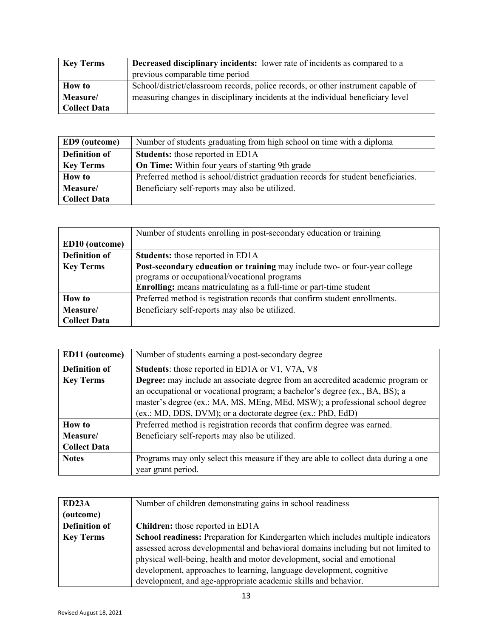| <b>Key Terms</b>    | <b>Decreased disciplinary incidents:</b> lower rate of incidents as compared to a |
|---------------------|-----------------------------------------------------------------------------------|
|                     | previous comparable time period                                                   |
| <b>How to</b>       | School/district/classroom records, police records, or other instrument capable of |
| Measure/            | measuring changes in disciplinary incidents at the individual beneficiary level   |
| <b>Collect Data</b> |                                                                                   |

| ED9 (outcome)        | Number of students graduating from high school on time with a diploma             |
|----------------------|-----------------------------------------------------------------------------------|
| <b>Definition of</b> | <b>Students:</b> those reported in ED1A                                           |
| <b>Key Terms</b>     | <b>On Time:</b> Within four years of starting 9th grade                           |
| <b>How to</b>        | Preferred method is school/district graduation records for student beneficiaries. |
| Measure/             | Beneficiary self-reports may also be utilized.                                    |
| <b>Collect Data</b>  |                                                                                   |

|                       | Number of students enrolling in post-secondary education or training       |
|-----------------------|----------------------------------------------------------------------------|
| <b>ED10</b> (outcome) |                                                                            |
| <b>Definition of</b>  | <b>Students:</b> those reported in ED1A                                    |
| <b>Key Terms</b>      | Post-secondary education or training may include two- or four-year college |
|                       | programs or occupational/vocational programs                               |
|                       | <b>Enrolling:</b> means matriculating as a full-time or part-time student  |
| <b>How to</b>         | Preferred method is registration records that confirm student enrollments. |
| Measure/              | Beneficiary self-reports may also be utilized.                             |
| <b>Collect Data</b>   |                                                                            |

| ED11 (outcome)       | Number of students earning a post-secondary degree                                                                                                                                                                                                                                                         |
|----------------------|------------------------------------------------------------------------------------------------------------------------------------------------------------------------------------------------------------------------------------------------------------------------------------------------------------|
| <b>Definition of</b> | <b>Students:</b> those reported in ED1A or V1, V7A, V8                                                                                                                                                                                                                                                     |
| <b>Key Terms</b>     | Degree: may include an associate degree from an accredited academic program or<br>an occupational or vocational program; a bachelor's degree (ex., BA, BS); a<br>master's degree (ex.: MA, MS, MEng, MEd, MSW); a professional school degree<br>(ex.: MD, DDS, DVM); or a doctorate degree (ex.: PhD, EdD) |
| <b>How to</b>        | Preferred method is registration records that confirm degree was earned.                                                                                                                                                                                                                                   |
| Measure/             | Beneficiary self-reports may also be utilized.                                                                                                                                                                                                                                                             |
| <b>Collect Data</b>  |                                                                                                                                                                                                                                                                                                            |
| <b>Notes</b>         | Programs may only select this measure if they are able to collect data during a one<br>year grant period.                                                                                                                                                                                                  |

| ED <sub>23</sub> A   | Number of children demonstrating gains in school readiness                        |
|----------------------|-----------------------------------------------------------------------------------|
| (outcome)            |                                                                                   |
| <b>Definition of</b> | <b>Children:</b> those reported in ED1A                                           |
| <b>Key Terms</b>     | School readiness: Preparation for Kindergarten which includes multiple indicators |
|                      | assessed across developmental and behavioral domains including but not limited to |
|                      | physical well-being, health and motor development, social and emotional           |
|                      | development, approaches to learning, language development, cognitive              |
|                      | development, and age-appropriate academic skills and behavior.                    |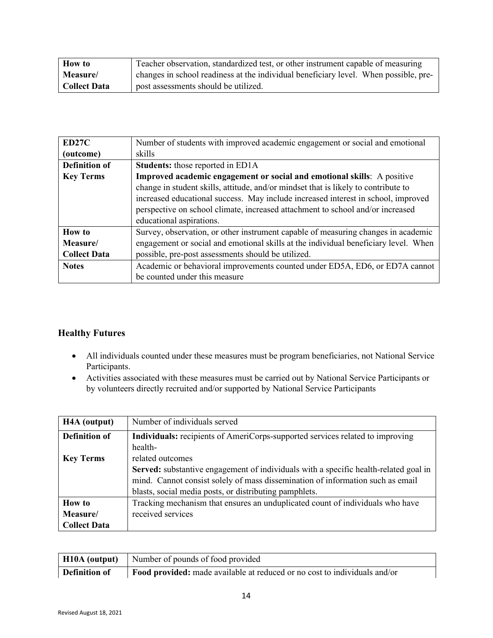| <b>How to</b>       | Teacher observation, standardized test, or other instrument capable of measuring     |
|---------------------|--------------------------------------------------------------------------------------|
| <b>Measure</b>      | changes in school readiness at the individual beneficiary level. When possible, pre- |
| <b>Collect Data</b> | post assessments should be utilized.                                                 |

| ED27C                | Number of students with improved academic engagement or social and emotional        |
|----------------------|-------------------------------------------------------------------------------------|
| (outcome)            | skills                                                                              |
| <b>Definition of</b> | <b>Students:</b> those reported in ED1A                                             |
| <b>Key Terms</b>     | Improved academic engagement or social and emotional skills: A positive             |
|                      | change in student skills, attitude, and/or mindset that is likely to contribute to  |
|                      | increased educational success. May include increased interest in school, improved   |
|                      | perspective on school climate, increased attachment to school and/or increased      |
|                      | educational aspirations.                                                            |
| <b>How to</b>        | Survey, observation, or other instrument capable of measuring changes in academic   |
| Measure/             | engagement or social and emotional skills at the individual beneficiary level. When |
| <b>Collect Data</b>  | possible, pre-post assessments should be utilized.                                  |
| <b>Notes</b>         | Academic or behavioral improvements counted under ED5A, ED6, or ED7A cannot         |
|                      | be counted under this measure                                                       |

#### <span id="page-13-0"></span>**Healthy Futures**

- All individuals counted under these measures must be program beneficiaries, not National Service Participants.
- Activities associated with these measures must be carried out by National Service Participants or by volunteers directly recruited and/or supported by National Service Participants

| H <sub>4</sub> A (output) | Number of individuals served                                                         |
|---------------------------|--------------------------------------------------------------------------------------|
| <b>Definition of</b>      | Individuals: recipients of AmeriCorps-supported services related to improving        |
|                           | health-                                                                              |
| <b>Key Terms</b>          | related outcomes                                                                     |
|                           | Served: substantive engagement of individuals with a specific health-related goal in |
|                           | mind. Cannot consist solely of mass dissemination of information such as email       |
|                           | blasts, social media posts, or distributing pamphlets.                               |
| <b>How to</b>             | Tracking mechanism that ensures an unduplicated count of individuals who have        |
| Measure/                  | received services                                                                    |
| <b>Collect Data</b>       |                                                                                      |

|                      | <b>H10A (output)</b> Number of pounds of food provided                    |
|----------------------|---------------------------------------------------------------------------|
| <b>Definition of</b> | Food provided: made available at reduced or no cost to individuals and/or |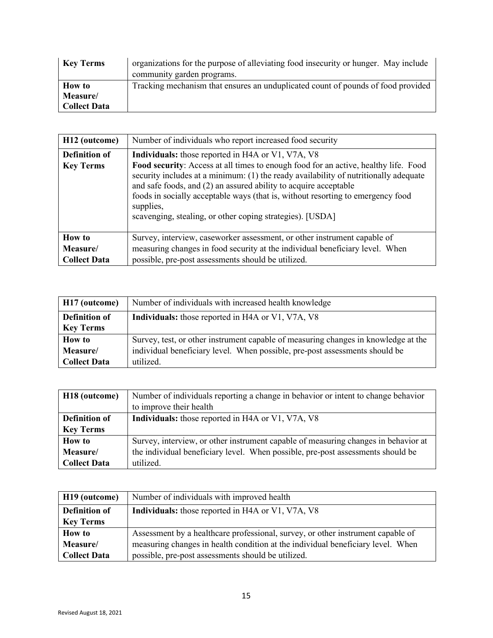| <b>Key Terms</b>    | organizations for the purpose of alleviating food insecurity or hunger. May include |
|---------------------|-------------------------------------------------------------------------------------|
|                     | community garden programs.                                                          |
| <b>How to</b>       | Tracking mechanism that ensures an unduplicated count of pounds of food provided    |
| Measure/            |                                                                                     |
| <b>Collect Data</b> |                                                                                     |

| H <sub>12</sub> (outcome)                        | Number of individuals who report increased food security                                                                                                                                                                                                                                                                                                                                                                                                                        |
|--------------------------------------------------|---------------------------------------------------------------------------------------------------------------------------------------------------------------------------------------------------------------------------------------------------------------------------------------------------------------------------------------------------------------------------------------------------------------------------------------------------------------------------------|
| <b>Definition of</b><br><b>Key Terms</b>         | <b>Individuals:</b> those reported in H4A or V1, V7A, V8<br><b>Food security:</b> Access at all times to enough food for an active, healthy life. Food<br>security includes at a minimum: (1) the ready availability of nutritionally adequate<br>and safe foods, and (2) an assured ability to acquire acceptable<br>foods in socially acceptable ways (that is, without resorting to emergency food<br>supplies,<br>scavenging, stealing, or other coping strategies). [USDA] |
| <b>How to</b><br>Measure/<br><b>Collect Data</b> | Survey, interview, caseworker assessment, or other instrument capable of<br>measuring changes in food security at the individual beneficiary level. When<br>possible, pre-post assessments should be utilized.                                                                                                                                                                                                                                                                  |

| H17 (outcome)        | Number of individuals with increased health knowledge                              |
|----------------------|------------------------------------------------------------------------------------|
| <b>Definition of</b> | <b>Individuals:</b> those reported in H4A or V1, V7A, V8                           |
| <b>Key Terms</b>     |                                                                                    |
| <b>How to</b>        | Survey, test, or other instrument capable of measuring changes in knowledge at the |
| Measure/             | individual beneficiary level. When possible, pre-post assessments should be        |
| <b>Collect Data</b>  | utilized.                                                                          |

| H <sub>18</sub> (outcome) | Number of individuals reporting a change in behavior or intent to change behavior  |
|---------------------------|------------------------------------------------------------------------------------|
|                           | to improve their health                                                            |
| <b>Definition of</b>      | Individuals: those reported in H4A or V1, V7A, V8                                  |
| <b>Key Terms</b>          |                                                                                    |
| <b>How to</b>             | Survey, interview, or other instrument capable of measuring changes in behavior at |
| Measure/                  | the individual beneficiary level. When possible, pre-post assessments should be    |
| <b>Collect Data</b>       | utilized.                                                                          |

| H19 (outcome)        | Number of individuals with improved health                                      |
|----------------------|---------------------------------------------------------------------------------|
| <b>Definition of</b> | <b>Individuals:</b> those reported in H4A or V1, V7A, V8                        |
| <b>Key Terms</b>     |                                                                                 |
| <b>How to</b>        | Assessment by a healthcare professional, survey, or other instrument capable of |
| Measure/             | measuring changes in health condition at the individual beneficiary level. When |
| <b>Collect Data</b>  | possible, pre-post assessments should be utilized.                              |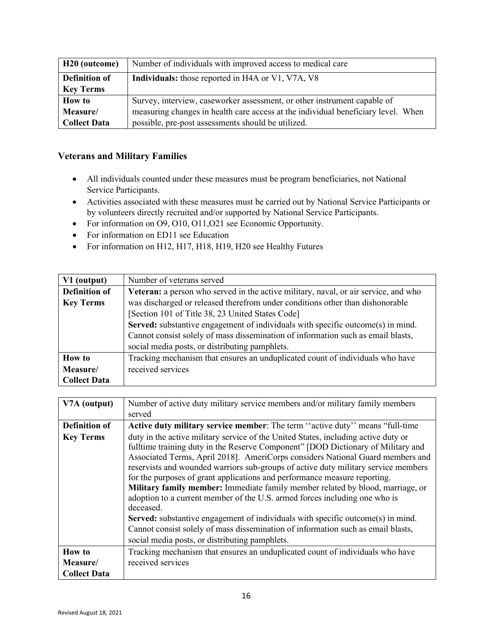| H <sub>20</sub> (outcome) | Number of individuals with improved access to medical care                        |
|---------------------------|-----------------------------------------------------------------------------------|
| <b>Definition of</b>      | <b>Individuals:</b> those reported in H4A or V1, V7A, V8                          |
| <b>Key Terms</b>          |                                                                                   |
| <b>How to</b>             | Survey, interview, caseworker assessment, or other instrument capable of          |
| Measure/                  | measuring changes in health care access at the individual beneficiary level. When |
| <b>Collect Data</b>       | possible, pre-post assessments should be utilized.                                |

#### <span id="page-15-0"></span>**Veterans and Military Families**

- All individuals counted under these measures must be program beneficiaries, not National Service Participants.
- Activities associated with these measures must be carried out by National Service Participants or by volunteers directly recruited and/or supported by National Service Participants.
- For information on O9, O10, O11, O21 see Economic Opportunity.
- For information on ED11 see Education
- For information on H12, H17, H18, H19, H20 see Healthy Futures

| V1 (output)          | Number of veterans served                                                           |
|----------------------|-------------------------------------------------------------------------------------|
| <b>Definition of</b> | Veteran: a person who served in the active military, naval, or air service, and who |
| <b>Key Terms</b>     | was discharged or released therefrom under conditions other than dishonorable       |
|                      | [Section 101 of Title 38, 23 United States Code]                                    |
|                      | Served: substantive engagement of individuals with specific outcome(s) in mind.     |
|                      | Cannot consist solely of mass dissemination of information such as email blasts,    |
|                      | social media posts, or distributing pamphlets.                                      |
| <b>How to</b>        | Tracking mechanism that ensures an unduplicated count of individuals who have       |
| Measure/             | received services                                                                   |
| <b>Collect Data</b>  |                                                                                     |

| V7A (output)         | Number of active duty military service members and/or military family members                                                                                                                                                                                                                                                                                                                                                                                                                                                                                                                                                                                                                                                                                                                                                            |
|----------------------|------------------------------------------------------------------------------------------------------------------------------------------------------------------------------------------------------------------------------------------------------------------------------------------------------------------------------------------------------------------------------------------------------------------------------------------------------------------------------------------------------------------------------------------------------------------------------------------------------------------------------------------------------------------------------------------------------------------------------------------------------------------------------------------------------------------------------------------|
|                      | served                                                                                                                                                                                                                                                                                                                                                                                                                                                                                                                                                                                                                                                                                                                                                                                                                                   |
| <b>Definition of</b> | Active duty military service member: The term "active duty" means "full-time                                                                                                                                                                                                                                                                                                                                                                                                                                                                                                                                                                                                                                                                                                                                                             |
| <b>Key Terms</b>     | duty in the active military service of the United States, including active duty or<br>fulltime training duty in the Reserve Component" [DOD Dictionary of Military and<br>Associated Terms, April 2018]. AmeriCorps considers National Guard members and<br>reservists and wounded warriors sub-groups of active duty military service members<br>for the purposes of grant applications and performance measure reporting.<br>Military family member: Immediate family member related by blood, marriage, or<br>adoption to a current member of the U.S. armed forces including one who is<br>deceased.<br><b>Served:</b> substantive engagement of individuals with specific outcome(s) in mind.<br>Cannot consist solely of mass dissemination of information such as email blasts,<br>social media posts, or distributing pamphlets. |
| <b>How to</b>        | Tracking mechanism that ensures an unduplicated count of individuals who have                                                                                                                                                                                                                                                                                                                                                                                                                                                                                                                                                                                                                                                                                                                                                            |
| Measure/             | received services                                                                                                                                                                                                                                                                                                                                                                                                                                                                                                                                                                                                                                                                                                                                                                                                                        |
| <b>Collect Data</b>  |                                                                                                                                                                                                                                                                                                                                                                                                                                                                                                                                                                                                                                                                                                                                                                                                                                          |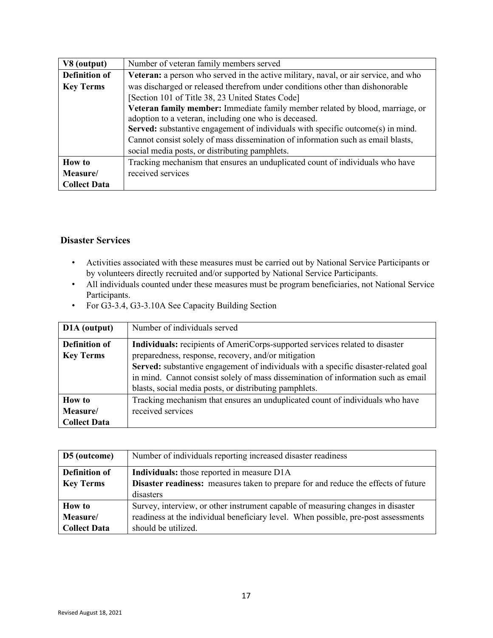| V8 (output)          | Number of veteran family members served                                             |
|----------------------|-------------------------------------------------------------------------------------|
| <b>Definition of</b> | Veteran: a person who served in the active military, naval, or air service, and who |
| <b>Key Terms</b>     | was discharged or released therefrom under conditions other than dishonorable       |
|                      | [Section 101 of Title 38, 23 United States Code]                                    |
|                      | Veteran family member: Immediate family member related by blood, marriage, or       |
|                      | adoption to a veteran, including one who is deceased.                               |
|                      | Served: substantive engagement of individuals with specific outcome(s) in mind.     |
|                      | Cannot consist solely of mass dissemination of information such as email blasts,    |
|                      | social media posts, or distributing pamphlets.                                      |
| <b>How to</b>        | Tracking mechanism that ensures an unduplicated count of individuals who have       |
| Measure/             | received services                                                                   |
| <b>Collect Data</b>  |                                                                                     |

#### <span id="page-16-0"></span>**Disaster Services**

- Activities associated with these measures must be carried out by National Service Participants or by volunteers directly recruited and/or supported by National Service Participants.
- All individuals counted under these measures must be program beneficiaries, not National Service Participants.
- For G3-3.4, G3-3.10A See Capacity Building Section

| D <sub>1</sub> A (output) | Number of individuals served                                                        |
|---------------------------|-------------------------------------------------------------------------------------|
| <b>Definition of</b>      | Individuals: recipients of AmeriCorps-supported services related to disaster        |
| <b>Key Terms</b>          | preparedness, response, recovery, and/or mitigation                                 |
|                           | Served: substantive engagement of individuals with a specific disaster-related goal |
|                           | in mind. Cannot consist solely of mass dissemination of information such as email   |
|                           | blasts, social media posts, or distributing pamphlets.                              |
| <b>How to</b>             | Tracking mechanism that ensures an unduplicated count of individuals who have       |
| Measure/                  | received services                                                                   |
| <b>Collect Data</b>       |                                                                                     |

<span id="page-16-1"></span>

| D5 (outcome)         | Number of individuals reporting increased disaster readiness                              |
|----------------------|-------------------------------------------------------------------------------------------|
| <b>Definition of</b> | <b>Individuals:</b> those reported in measure D1A                                         |
| <b>Key Terms</b>     | <b>Disaster readiness:</b> measures taken to prepare for and reduce the effects of future |
|                      | disasters                                                                                 |
| <b>How to</b>        | Survey, interview, or other instrument capable of measuring changes in disaster           |
| Measure/             | readiness at the individual beneficiary level. When possible, pre-post assessments        |
| <b>Collect Data</b>  | should be utilized.                                                                       |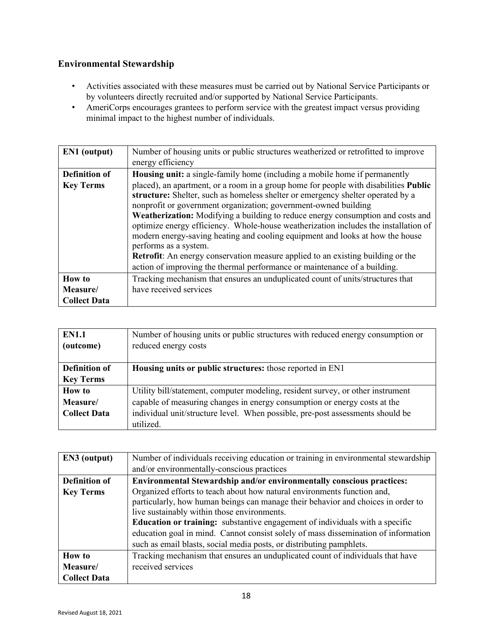### **Environmental Stewardship**

- Activities associated with these measures must be carried out by National Service Participants or by volunteers directly recruited and/or supported by National Service Participants.
- AmeriCorps encourages grantees to perform service with the greatest impact versus providing minimal impact to the highest number of individuals.

| EN1 (output)         | Number of housing units or public structures weatherized or retrofitted to improve                                                                                                                                                                                                                                                                                                                                                                                                                                                                                                                                                                                                                    |
|----------------------|-------------------------------------------------------------------------------------------------------------------------------------------------------------------------------------------------------------------------------------------------------------------------------------------------------------------------------------------------------------------------------------------------------------------------------------------------------------------------------------------------------------------------------------------------------------------------------------------------------------------------------------------------------------------------------------------------------|
|                      | energy efficiency                                                                                                                                                                                                                                                                                                                                                                                                                                                                                                                                                                                                                                                                                     |
| <b>Definition of</b> | <b>Housing unit:</b> a single-family home (including a mobile home if permanently                                                                                                                                                                                                                                                                                                                                                                                                                                                                                                                                                                                                                     |
| <b>Key Terms</b>     | placed), an apartment, or a room in a group home for people with disabilities <b>Public</b><br>structure: Shelter, such as homeless shelter or emergency shelter operated by a<br>nonprofit or government organization; government-owned building<br>Weatherization: Modifying a building to reduce energy consumption and costs and<br>optimize energy efficiency. Whole-house weatherization includes the installation of<br>modern energy-saving heating and cooling equipment and looks at how the house<br>performs as a system.<br>Retrofit: An energy conservation measure applied to an existing building or the<br>action of improving the thermal performance or maintenance of a building. |
| <b>How to</b>        | Tracking mechanism that ensures an unduplicated count of units/structures that                                                                                                                                                                                                                                                                                                                                                                                                                                                                                                                                                                                                                        |
| Measure/             | have received services                                                                                                                                                                                                                                                                                                                                                                                                                                                                                                                                                                                                                                                                                |
| <b>Collect Data</b>  |                                                                                                                                                                                                                                                                                                                                                                                                                                                                                                                                                                                                                                                                                                       |

| <b>EN1.1</b>         | Number of housing units or public structures with reduced energy consumption or |
|----------------------|---------------------------------------------------------------------------------|
| (outcome)            | reduced energy costs                                                            |
|                      |                                                                                 |
| <b>Definition of</b> | Housing units or public structures: those reported in EN1                       |
| <b>Key Terms</b>     |                                                                                 |
| <b>How to</b>        | Utility bill/statement, computer modeling, resident survey, or other instrument |
| Measure/             | capable of measuring changes in energy consumption or energy costs at the       |
| <b>Collect Data</b>  | individual unit/structure level. When possible, pre-post assessments should be  |
|                      | utilized.                                                                       |

| EN3 (output)         | Number of individuals receiving education or training in environmental stewardship                                                                                                                                                                                                                                                                                                                                                                              |
|----------------------|-----------------------------------------------------------------------------------------------------------------------------------------------------------------------------------------------------------------------------------------------------------------------------------------------------------------------------------------------------------------------------------------------------------------------------------------------------------------|
|                      | and/or environmentally-conscious practices                                                                                                                                                                                                                                                                                                                                                                                                                      |
| <b>Definition of</b> | Environmental Stewardship and/or environmentally conscious practices:                                                                                                                                                                                                                                                                                                                                                                                           |
| <b>Key Terms</b>     | Organized efforts to teach about how natural environments function and,<br>particularly, how human beings can manage their behavior and choices in order to<br>live sustainably within those environments.<br><b>Education or training:</b> substantive engagement of individuals with a specific<br>education goal in mind. Cannot consist solely of mass dissemination of information<br>such as email blasts, social media posts, or distributing pamphlets. |
| <b>How to</b>        | Tracking mechanism that ensures an unduplicated count of individuals that have                                                                                                                                                                                                                                                                                                                                                                                  |
| Measure/             | received services                                                                                                                                                                                                                                                                                                                                                                                                                                               |
| <b>Collect Data</b>  |                                                                                                                                                                                                                                                                                                                                                                                                                                                                 |